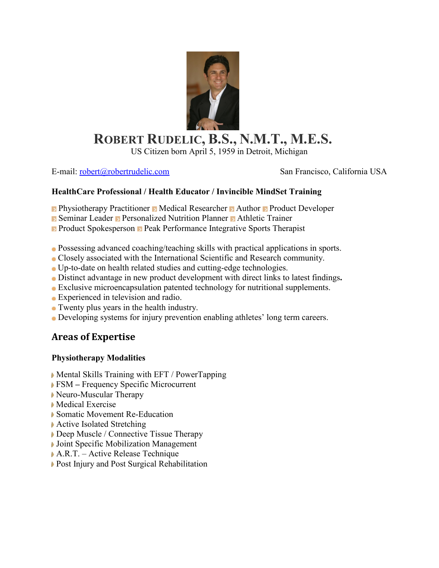

# **ROBERT RUDELIC, B.S., N.M.T., M.E.S.**

US Citizen born April 5, 1959 in Detroit, Michigan

E-mail: [robert@robertrudelic.com](mailto:robert@robertrudelic.com) San Francisco, California USA

#### **HealthCare Professional / Health Educator / Invincible MindSet Training**

**Physiotherapy Practitioner Medical Researcher Mathor Product Developer** 

Seminar Leader Personalized Nutrition Planner Athletic Trainer

**Product Spokesperson Peak Performance Integrative Sports Therapist** 

- Possessing advanced coaching/teaching skills with practical applications in sports.
- Closely associated with the International Scientific and Research community.
- Up-to-date on health related studies and cutting-edge technologies.
- Distinct advantage in new product development with direct links to latest findings**.**
- Exclusive microencapsulation patented technology for nutritional supplements.
- Experienced in television and radio.
- Twenty plus years in the health industry.
- Developing systems for injury prevention enabling athletes' long term careers.

## **Areas of Expertise**

#### **Physiotherapy Modalities**

- Mental Skills Training with EFT / PowerTapping
- FSM **–** Frequency Specific Microcurrent
- Neuro-Muscular Therapy
- Medical Exercise
- ▶ Somatic Movement Re-Education
- **▶ Active Isolated Stretching**
- Deep Muscle / Connective Tissue Therapy
- **Joint Specific Mobilization Management**
- A.R.T. Active Release Technique
- Post Injury and Post Surgical Rehabilitation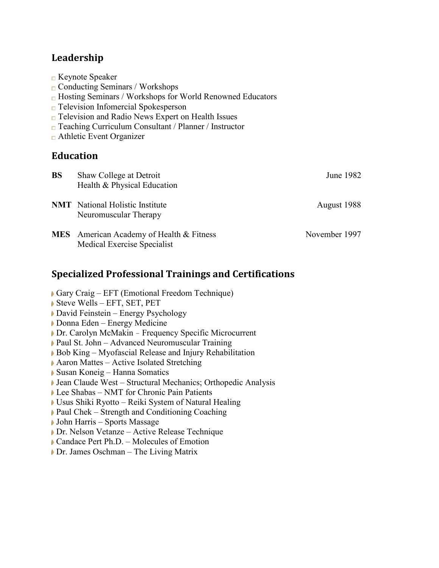## **Leadership**

**■ Keynote Speaker** 

 $\Box$  Conducting Seminars / Workshops

|           | $\Box$ Television Infomercial Spokesperson<br>$\Box$ Television and Radio News Expert on Health Issues<br>$\Box$ Teaching Curriculum Consultant / Planner / Instructor<br>$\Box$ Athletic Event Organizer |               |
|-----------|-----------------------------------------------------------------------------------------------------------------------------------------------------------------------------------------------------------|---------------|
|           | <b>Education</b>                                                                                                                                                                                          |               |
| <b>BS</b> | Shaw College at Detroit<br>Health & Physical Education                                                                                                                                                    | June 1982     |
|           | <b>NMT</b> National Holistic Institute<br>Neuromuscular Therapy                                                                                                                                           | August 1988   |
|           | MES American Academy of Health & Fitness<br>Medical Exercise Specialist                                                                                                                                   | November 1997 |

## **Specialized Professional Trainings and Certifications**

**□ Hosting Seminars / Workshops for World Renowned Educators** 

- Gary Craig EFT (Emotional Freedom Technique)
- Steve Wells EFT, SET, PET
- ▶ David Feinstein Energy Psychology
- Donna Eden Energy Medicine
- Dr. Carolyn McMakin Frequency Specific Microcurrent
- Paul St. John Advanced Neuromuscular Training
- Bob King Myofascial Release and Injury Rehabilitation
- ▶ Aaron Mattes Active Isolated Stretching
- Susan Koneig Hanna Somatics
- Jean Claude West Structural Mechanics; Orthopedic Analysis
- Lee Shabas NMT for Chronic Pain Patients
- Usus Shiki Ryotto Reiki System of Natural Healing
- ▶ Paul Chek Strength and Conditioning Coaching
- John Harris Sports Massage
- Dr. Nelson Vetanze Active Release Technique
- Candace Pert Ph.D. Molecules of Emotion
- Dr. James Oschman The Living Matrix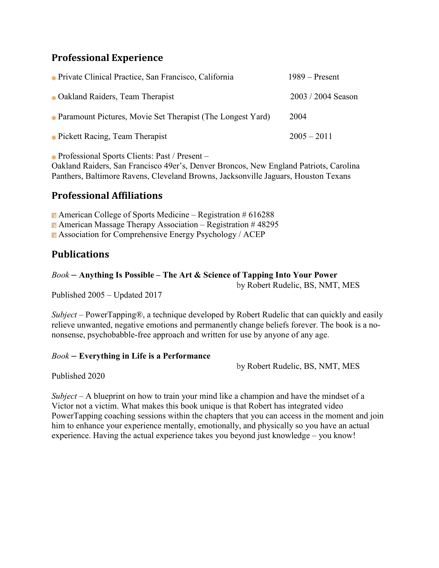## **Professional Experience**

| • Private Clinical Practice, San Francisco, California       | $1989 -$ Present     |
|--------------------------------------------------------------|----------------------|
| • Oakland Raiders, Team Therapist                            | $2003 / 2004$ Season |
| • Paramount Pictures, Movie Set Therapist (The Longest Yard) | 2004                 |
| • Pickett Racing, Team Therapist                             | $2005 - 2011$        |

Professional Sports Clients: Past / Present –

Oakland Raiders, San Francisco 49er's, Denver Broncos, New England Patriots, Carolina Panthers, Baltimore Ravens, Cleveland Browns, Jacksonville Jaguars, Houston Texans

#### **Professional Affiliations**

American College of Sports Medicine – Registration  $\# 616288$ American Massage Therapy Association – Registration  $\#$  48295 Association for Comprehensive Energy Psychology / ACEP

#### **Publications**

#### *Book* **– Anything Is Possible – The Art & Science of Tapping Into Your Power**

by Robert Rudelic, BS, NMT, MES

Published 2005 – Updated 2017

*Subject* – PowerTapping®, a technique developed by Robert Rudelic that can quickly and easily relieve unwanted, negative emotions and permanently change beliefs forever. The book is a nononsense, psychobabble-free approach and written for use by anyone of any age.

#### *Book* **– Everything in Life is a Performance**

by Robert Rudelic, BS, NMT, MES

Published 2020

*Subject* – A blueprint on how to train your mind like a champion and have the mindset of a Victor not a victim. What makes this book unique is that Robert has integrated video PowerTapping coaching sessions within the chapters that you can access in the moment and join him to enhance your experience mentally, emotionally, and physically so you have an actual experience. Having the actual experience takes you beyond just knowledge – you know!